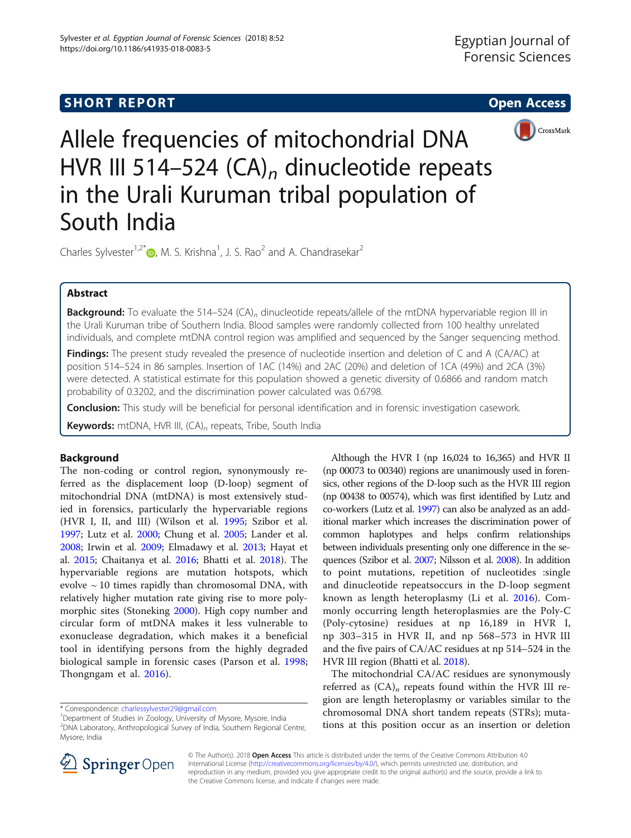

Allele frequencies of mitochondrial DNA HVR III 514-524 (CA)<sub>n</sub> dinucleotide repeats in the Urali Kuruman tribal population of South India

Charles Sylvester<sup>1[,](http://orcid.org/0000-0003-0724-3817)2\*</sup> $\bullet$ , M. S. Krishna<sup>1</sup>, J. S. Rao<sup>2</sup> and A. Chandrasekar<sup>2</sup>

## Abstract

**Background:** To evaluate the 514–524 (CA)<sub>n</sub> dinucleotide repeats/allele of the mtDNA hypervariable region III in the Urali Kuruman tribe of Southern India. Blood samples were randomly collected from 100 healthy unrelated individuals, and complete mtDNA control region was amplified and sequenced by the Sanger sequencing method.

Findings: The present study revealed the presence of nucleotide insertion and deletion of C and A (CA/AC) at position 514–524 in 86 samples. Insertion of 1AC (14%) and 2AC (20%) and deletion of 1CA (49%) and 2CA (3%) were detected. A statistical estimate for this population showed a genetic diversity of 0.6866 and random match probability of 0.3202, and the discrimination power calculated was 0.6798.

**Conclusion:** This study will be beneficial for personal identification and in forensic investigation casework.

Keywords: mtDNA, HVR III, (CA)<sub>n</sub> repeats, Tribe, South India

## Background

The non-coding or control region, synonymously referred as the displacement loop (D-loop) segment of mitochondrial DNA (mtDNA) is most extensively studied in forensics, particularly the hypervariable regions (HVR I, II, and III) (Wilson et al. [1995](#page-4-0); Szibor et al. [1997](#page-3-0); Lutz et al. [2000](#page-3-0); Chung et al. [2005;](#page-3-0) Lander et al. [2008](#page-3-0); Irwin et al. [2009;](#page-3-0) Elmadawy et al. [2013;](#page-3-0) Hayat et al. [2015;](#page-3-0) Chaitanya et al. [2016](#page-3-0); Bhatti et al. [2018\)](#page-3-0). The hypervariable regions are mutation hotspots, which evolve  $\sim$  10 times rapidly than chromosomal DNA, with relatively higher mutation rate giving rise to more polymorphic sites (Stoneking [2000\)](#page-3-0). High copy number and circular form of mtDNA makes it less vulnerable to exonuclease degradation, which makes it a beneficial tool in identifying persons from the highly degraded biological sample in forensic cases (Parson et al. [1998](#page-3-0); Thongngam et al. [2016](#page-4-0)).

Although the HVR I (np 16,024 to 16,365) and HVR II (np 00073 to 00340) regions are unanimously used in forensics, other regions of the D-loop such as the HVR III region (np 00438 to 00574), which was first identified by Lutz and co-workers (Lutz et al. [1997](#page-3-0)) can also be analyzed as an additional marker which increases the discrimination power of common haplotypes and helps confirm relationships between individuals presenting only one difference in the sequences (Szibor et al. [2007;](#page-3-0) Nilsson et al. [2008](#page-3-0)). In addition to point mutations, repetition of nucleotides :single and dinucleotide repeatsoccurs in the D-loop segment known as length heteroplasmy (Li et al. [2016\)](#page-3-0). Commonly occurring length heteroplasmies are the Poly-C (Poly-cytosine) residues at np 16,189 in HVR I, np 303–315 in HVR II, and np 568–573 in HVR III and the five pairs of CA/AC residues at np 514–524 in the HVR III region (Bhatti et al. [2018](#page-3-0)).

The mitochondrial CA/AC residues are synonymously referred as  $(CA)<sub>n</sub>$  repeats found within the HVR III region are length heteroplasmy or variables similar to the chromosomal DNA short tandem repeats (STRs); mutations at this position occur as an insertion or deletion



© The Author(s). 2018 Open Access This article is distributed under the terms of the Creative Commons Attribution 4.0 International License ([http://creativecommons.org/licenses/by/4.0/\)](http://creativecommons.org/licenses/by/4.0/), which permits unrestricted use, distribution, and reproduction in any medium, provided you give appropriate credit to the original author(s) and the source, provide a link to the Creative Commons license, and indicate if changes were made.

<sup>\*</sup> Correspondence: [charlessylvester29@gmail.com](mailto:charlessylvester29@gmail.com) <sup>1</sup>

<sup>&</sup>lt;sup>1</sup>Department of Studies in Zoology, University of Mysore, Mysore, India

<sup>2</sup> DNA Laboratory, Anthropological Survey of India, Southern Regional Centre, Mysore, India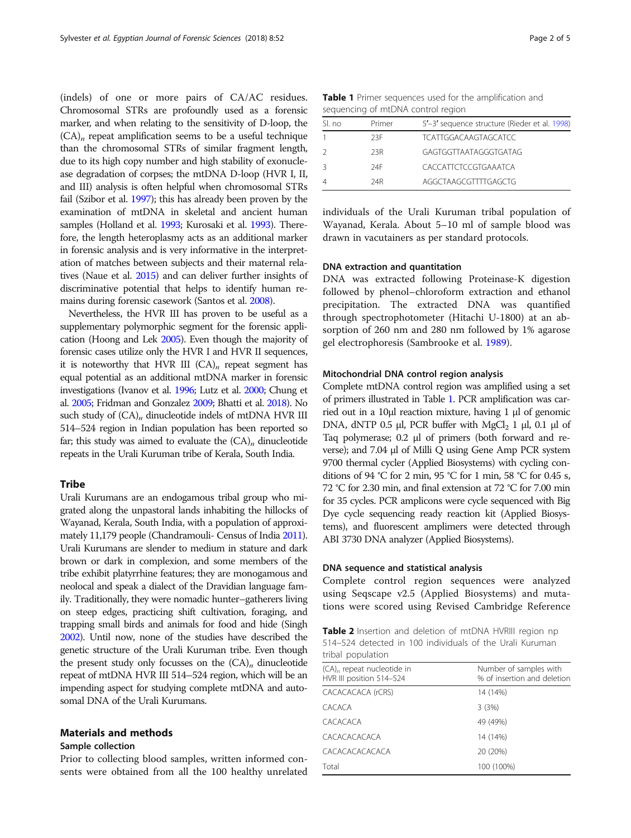<span id="page-1-0"></span>(indels) of one or more pairs of CA/AC residues. Chromosomal STRs are profoundly used as a forensic marker, and when relating to the sensitivity of D-loop, the  $(CA)<sub>n</sub>$  repeat amplification seems to be a useful technique than the chromosomal STRs of similar fragment length, due to its high copy number and high stability of exonuclease degradation of corpses; the mtDNA D-loop (HVR I, II, and III) analysis is often helpful when chromosomal STRs fail (Szibor et al. [1997](#page-3-0)); this has already been proven by the examination of mtDNA in skeletal and ancient human samples (Holland et al. [1993](#page-3-0); Kurosaki et al. [1993](#page-3-0)). Therefore, the length heteroplasmy acts as an additional marker in forensic analysis and is very informative in the interpretation of matches between subjects and their maternal relatives (Naue et al. [2015](#page-3-0)) and can deliver further insights of discriminative potential that helps to identify human remains during forensic casework (Santos et al. [2008\)](#page-3-0).

Nevertheless, the HVR III has proven to be useful as a supplementary polymorphic segment for the forensic application (Hoong and Lek [2005\)](#page-3-0). Even though the majority of forensic cases utilize only the HVR I and HVR II sequences, it is noteworthy that HVR III  $(CA)_n$  repeat segment has equal potential as an additional mtDNA marker in forensic investigations (Ivanov et al. [1996](#page-3-0); Lutz et al. [2000;](#page-3-0) Chung et al. [2005](#page-3-0); Fridman and Gonzalez [2009;](#page-3-0) Bhatti et al. [2018\)](#page-3-0). No such study of  $(CA)_n$  dinucleotide indels of mtDNA HVR III 514–524 region in Indian population has been reported so far; this study was aimed to evaluate the  $(CA)_n$  dinucleotide repeats in the Urali Kuruman tribe of Kerala, South India.

## **Tribe**

Urali Kurumans are an endogamous tribal group who migrated along the unpastoral lands inhabiting the hillocks of Wayanad, Kerala, South India, with a population of approximately 11,179 people (Chandramouli- Census of India [2011\)](#page-3-0). Urali Kurumans are slender to medium in stature and dark brown or dark in complexion, and some members of the tribe exhibit platyrrhine features; they are monogamous and neolocal and speak a dialect of the Dravidian language family. Traditionally, they were nomadic hunter–gatherers living on steep edges, practicing shift cultivation, foraging, and trapping small birds and animals for food and hide (Singh [2002](#page-3-0)). Until now, none of the studies have described the genetic structure of the Urali Kuruman tribe. Even though the present study only focusses on the  $(CA)_n$  dinucleotide repeat of mtDNA HVR III 514–524 region, which will be an impending aspect for studying complete mtDNA and autosomal DNA of the Urali Kurumans.

## Materials and methods

## Sample collection

Prior to collecting blood samples, written informed consents were obtained from all the 100 healthy unrelated

|                                    |  |  |  | Table 1 Primer sequences used for the amplification and |  |
|------------------------------------|--|--|--|---------------------------------------------------------|--|
| sequencing of mtDNA control region |  |  |  |                                                         |  |

| SI no          | Primer | 5'-3' sequence structure (Rieder et al. 1998) |
|----------------|--------|-----------------------------------------------|
|                | 23F    | <b>TCATTGGACAAGTAGCATCC</b>                   |
| 2              | 23R    | GAGTGGTTAATAGGGTGATAG                         |
| 3              | 74F    | CACCATTCTCCGTGAAATCA                          |
| $\overline{4}$ | 24R    | AGGCTAAGCGTTTTGAGCTG                          |

individuals of the Urali Kuruman tribal population of Wayanad, Kerala. About 5–10 ml of sample blood was drawn in vacutainers as per standard protocols.

## DNA extraction and quantitation

DNA was extracted following Proteinase-K digestion followed by phenol–chloroform extraction and ethanol precipitation. The extracted DNA was quantified through spectrophotometer (Hitachi U-1800) at an absorption of 260 nm and 280 nm followed by 1% agarose gel electrophoresis (Sambrooke et al. [1989](#page-3-0)).

## Mitochondrial DNA control region analysis

Complete mtDNA control region was amplified using a set of primers illustrated in Table 1. PCR amplification was carried out in a 10μl reaction mixture, having 1 μl of genomic DNA, dNTP 0.5 μl, PCR buffer with  $MgCl<sub>2</sub>$  1 μl, 0.1 μl of Taq polymerase; 0.2 μl of primers (both forward and reverse); and 7.04 μl of Milli Q using Gene Amp PCR system 9700 thermal cycler (Applied Biosystems) with cycling conditions of 94 °C for 2 min, 95 °C for 1 min, 58 °C for 0.45 s, 72 °C for 2.30 min, and final extension at 72 °C for 7.00 min for 35 cycles. PCR amplicons were cycle sequenced with Big Dye cycle sequencing ready reaction kit (Applied Biosystems), and fluorescent amplimers were detected through ABI 3730 DNA analyzer (Applied Biosystems).

### DNA sequence and statistical analysis

Complete control region sequences were analyzed using Seqscape v2.5 (Applied Biosystems) and mutations were scored using Revised Cambridge Reference

|                   | Table 2 Insertion and deletion of mtDNA HVRIII region np |  |  |  |  |
|-------------------|----------------------------------------------------------|--|--|--|--|
|                   | 514–524 detected in 100 individuals of the Urali Kuruman |  |  |  |  |
| tribal population |                                                          |  |  |  |  |

| Number of samples with<br>% of insertion and deletion |  |  |  |  |
|-------------------------------------------------------|--|--|--|--|
| 14 (14%)                                              |  |  |  |  |
| 3(3%)                                                 |  |  |  |  |
| 49 (49%)                                              |  |  |  |  |
| 14 (14%)                                              |  |  |  |  |
| 20 (20%)                                              |  |  |  |  |
| 100 (100%)                                            |  |  |  |  |
|                                                       |  |  |  |  |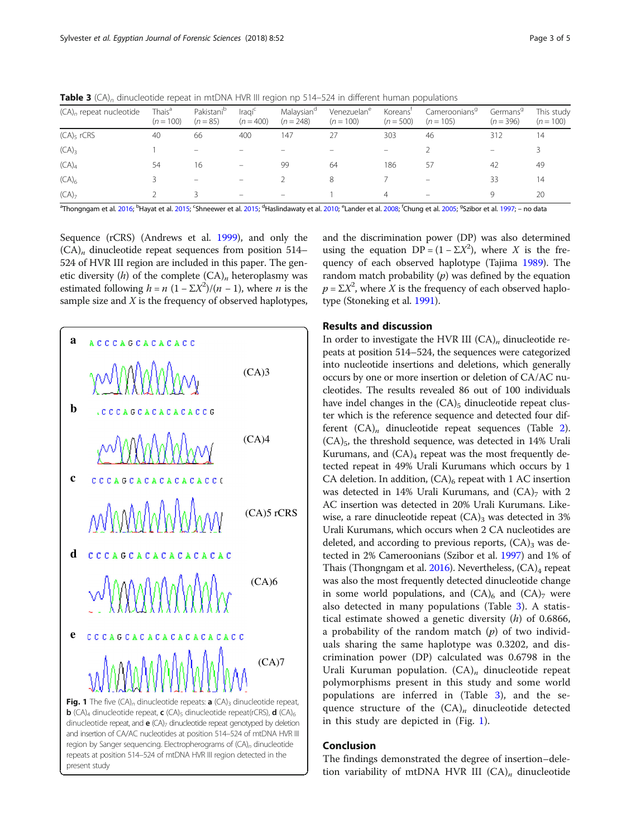| $(CA)n$ repeat nucleotide                                                                                                                                                                                                      | Thais <sup>a</sup><br>$(n = 100)$ | Pakistani <sup>b</sup><br>$(n = 85)$ | Iragi <sup>c</sup><br>$(n = 400)$ | Malaysian <sup>d</sup><br>$(n = 248)$ | Venezuelan <sup>e</sup><br>$(n = 100)$ | Koreans'<br>$(n = 500)$ | Cameroonians <sup>9</sup><br>$(n = 105)$ | Germans <sup>9</sup><br>$(n = 396)$ | This study<br>$(n = 100)$ |
|--------------------------------------------------------------------------------------------------------------------------------------------------------------------------------------------------------------------------------|-----------------------------------|--------------------------------------|-----------------------------------|---------------------------------------|----------------------------------------|-------------------------|------------------------------------------|-------------------------------------|---------------------------|
| (CA) <sub>5</sub> rCRS                                                                                                                                                                                                         | 40                                | 66                                   | 400                               | 147                                   |                                        | 303                     | 46                                       | 312                                 | 14                        |
| $(CA)_{3}$                                                                                                                                                                                                                     |                                   |                                      |                                   |                                       |                                        |                         |                                          | $\qquad \qquad -$                   |                           |
| (CA) <sub>4</sub>                                                                                                                                                                                                              | 54                                | 16                                   |                                   | -99                                   | 64                                     | 186                     | 57                                       | 42                                  | 49                        |
| (CA) <sub>6</sub>                                                                                                                                                                                                              |                                   |                                      |                                   |                                       | 8                                      |                         |                                          | 33                                  | 14                        |
| (CA) <sub>7</sub>                                                                                                                                                                                                              |                                   |                                      | -                                 | $\overline{\phantom{0}}$              |                                        | 4                       | $\qquad \qquad =$                        | Q                                   | 20                        |
| <sup>4</sup> Thononness at al 2016, <sup>b</sup> United to the Changes of al 2015, <sup>d</sup> Unclindent at al 2010, <sup>e</sup> l ander at al 2000, <sup>t</sup> Ching at al 2005, <sup>9</sup> C diposed al 1007, and the |                                   |                                      |                                   |                                       |                                        |                         |                                          |                                     |                           |

**Table 3** (CA)<sub>n</sub> dinucleotide repeat in mtDNA HVR III region np 514–524 in different human populations

Thongngam et al. [2016](#page-4-0); <sup>b</sup>Hayat et al. [2015](#page-3-0); <sup>c</sup>Shneewer et al. 2015; <sup>d</sup>Haslindawaty et al. [2010](#page-3-0); <sup>e</sup>Lander et al. [2008](#page-3-0); <sup>f</sup>Chung et al. [2005](#page-3-0); <sup>9</sup>Szibor et al. [1997;](#page-3-0) – no data

Sequence (rCRS) (Andrews et al. [1999](#page-3-0)), and only the  $(CA)<sub>n</sub>$  dinucleotide repeat sequences from position 514– 524 of HVR III region are included in this paper. The genetic diversity  $(h)$  of the complete  $(CA)<sub>n</sub>$  heteroplasmy was estimated following  $h = n (1 - \Sigma X^2) / (n - 1)$ , where *n* is the sample size and  $X$  is the frequency of observed haplotypes,



and the discrimination power (DP) was also determined using the equation  $DP = (1 - \Sigma X^2)$ , where X is the frequency of each observed haplotype (Tajima [1989\)](#page-4-0). The random match probability  $(p)$  was defined by the equation  $p = \sum X^2$ , where X is the frequency of each observed haplotype (Stoneking et al. [1991\)](#page-3-0).

### Results and discussion

In order to investigate the HVR III  $(CA)<sub>n</sub>$  dinucleotide repeats at position 514–524, the sequences were categorized into nucleotide insertions and deletions, which generally occurs by one or more insertion or deletion of CA/AC nucleotides. The results revealed 86 out of 100 individuals have indel changes in the  $(CA)_5$  dinucleotide repeat cluster which is the reference sequence and detected four different  $(CA)<sub>n</sub>$  dinucleotide repeat sequences (Table [2](#page-1-0)).  $(CA)_{5}$ , the threshold sequence, was detected in 14% Urali Kurumans, and  $(CA)_4$  repeat was the most frequently detected repeat in 49% Urali Kurumans which occurs by 1 CA deletion. In addition,  $(CA)_6$  repeat with 1 AC insertion was detected in 14% Urali Kurumans, and  $(CA)_7$  with 2 AC insertion was detected in 20% Urali Kurumans. Likewise, a rare dinucleotide repeat  $(CA)$ <sub>3</sub> was detected in 3% Urali Kurumans, which occurs when 2 CA nucleotides are deleted, and according to previous reports,  $(CA)_3$  was detected in 2% Cameroonians (Szibor et al. [1997\)](#page-3-0) and 1% of Thais (Thongngam et al.  $2016$ ). Nevertheless,  $(CA)<sub>4</sub>$  repeat was also the most frequently detected dinucleotide change in some world populations, and  $(CA)_6$  and  $(CA)_7$  were also detected in many populations (Table 3). A statistical estimate showed a genetic diversity  $(h)$  of 0.6866, a probability of the random match  $(p)$  of two individuals sharing the same haplotype was 0.3202, and discrimination power (DP) calculated was 0.6798 in the Urali Kuruman population.  $(CA)_n$  dinucleotide repeat polymorphisms present in this study and some world populations are inferred in (Table 3), and the sequence structure of the  $(CA)_n$  dinucleotide detected in this study are depicted in (Fig. 1).

## Conclusion

The findings demonstrated the degree of insertion–deletion variability of mtDNA HVR III  $(CA)_n$  dinucleotide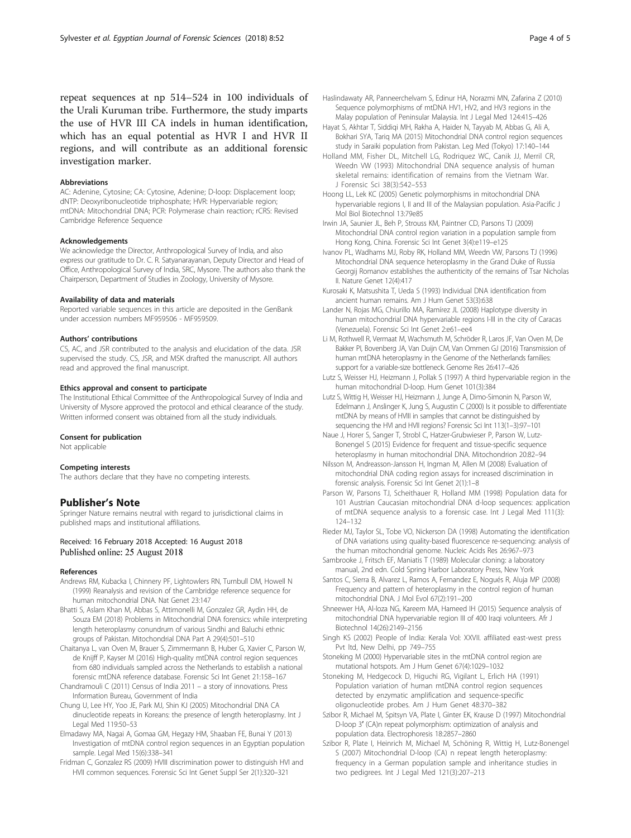<span id="page-3-0"></span>repeat sequences at np 514–524 in 100 individuals of the Urali Kuruman tribe. Furthermore, the study imparts the use of HVR III CA indels in human identification, which has an equal potential as HVR I and HVR II regions, and will contribute as an additional forensic investigation marker.

#### Abbreviations

AC: Adenine, Cytosine; CA: Cytosine, Adenine; D-loop: Displacement loop; dNTP: Deoxyribonucleotide triphosphate; HVR: Hypervariable region; mtDNA: Mitochondrial DNA; PCR: Polymerase chain reaction; rCRS: Revised Cambridge Reference Sequence

#### Acknowledgements

We acknowledge the Director, Anthropological Survey of India, and also express our gratitude to Dr. C. R. Satyanarayanan, Deputy Director and Head of Office, Anthropological Survey of India, SRC, Mysore. The authors also thank the Chairperson, Department of Studies in Zoology, University of Mysore.

### Availability of data and materials

Reported variable sequences in this article are deposited in the GenBank under accession numbers MF959506 - MF959509.

#### Authors' contributions

CS, AC, and JSR contributed to the analysis and elucidation of the data. JSR supervised the study. CS, JSR, and MSK drafted the manuscript. All authors read and approved the final manuscript.

#### Ethics approval and consent to participate

The Institutional Ethical Committee of the Anthropological Survey of India and University of Mysore approved the protocol and ethical clearance of the study. Written informed consent was obtained from all the study individuals.

#### Consent for publication

Not applicable

### Competing interests

The authors declare that they have no competing interests.

### Publisher's Note

Springer Nature remains neutral with regard to jurisdictional claims in published maps and institutional affiliations.

### Received: 16 February 2018 Accepted: 16 August 2018 Published online: 25 August 2018

#### References

- Andrews RM, Kubacka I, Chinnery PF, Lightowlers RN, Turnbull DM, Howell N (1999) Reanalysis and revision of the Cambridge reference sequence for human mitochondrial DNA. Nat Genet 23:147
- Bhatti S, Aslam Khan M, Abbas S, Attimonelli M, Gonzalez GR, Aydin HH, de Souza EM (2018) Problems in Mitochondrial DNA forensics: while interpreting length heteroplasmy conundrum of various Sindhi and Baluchi ethnic groups of Pakistan. Mitochondrial DNA Part A 29(4):501–510
- Chaitanya L, van Oven M, Brauer S, Zimmermann B, Huber G, Xavier C, Parson W, de Knijff P, Kayser M (2016) High-quality mtDNA control region sequences from 680 individuals sampled across the Netherlands to establish a national forensic mtDNA reference database. Forensic Sci Int Genet 21:158–167
- Chandramouli C (2011) Census of India 2011 a story of innovations. Press Information Bureau, Government of India
- Chung U, Lee HY, Yoo JE, Park MJ, Shin KJ (2005) Mitochondrial DNA CA dinucleotide repeats in Koreans: the presence of length heteroplasmy. Int J Legal Med 119:50–53
- Elmadawy MA, Nagai A, Gomaa GM, Hegazy HM, Shaaban FE, Bunai Y (2013) Investigation of mtDNA control region sequences in an Egyptian population sample. Legal Med 15(6):338–341
- Fridman C, Gonzalez RS (2009) HVIII discrimination power to distinguish HVI and HVII common sequences. Forensic Sci Int Genet Suppl Ser 2(1):320–321
- Haslindawaty AR, Panneerchelvam S, Edinur HA, Norazmi MN, Zafarina Z (2010) Sequence polymorphisms of mtDNA HV1, HV2, and HV3 regions in the Malay population of Peninsular Malaysia. Int J Legal Med 124:415–426
- Hayat S, Akhtar T, Siddiqi MH, Rakha A, Haider N, Tayyab M, Abbas G, Ali A, Bokhari SYA, Tariq MA (2015) Mitochondrial DNA control region sequences study in Saraiki population from Pakistan. Leg Med (Tokyo) 17:140–144
- Holland MM, Fisher DL, Mitchell LG, Rodriquez WC, Canik JJ, Merril CR, Weedn VW (1993) Mitochondrial DNA sequence analysis of human skeletal remains: identification of remains from the Vietnam War. J Forensic Sci 38(3):542–553
- Hoong LL, Lek KC (2005) Genetic polymorphisms in mitochondrial DNA hypervariable regions I, II and III of the Malaysian population. Asia-Pacific J Mol Biol Biotechnol 13:79e85
- Irwin JA, Saunier JL, Beh P, Strouss KM, Paintner CD, Parsons TJ (2009) Mitochondrial DNA control region variation in a population sample from Hong Kong, China. Forensic Sci Int Genet 3(4):e119–e125
- Ivanov PL, Wadhams MJ, Roby RK, Holland MM, Weedn VW, Parsons TJ (1996) Mitochondrial DNA sequence heteroplasmy in the Grand Duke of Russia Georgij Romanov establishes the authenticity of the remains of Tsar Nicholas II. Nature Genet 12(4):417
- Kurosaki K, Matsushita T, Ueda S (1993) Individual DNA identification from ancient human remains. Am J Hum Genet 53(3):638
- Lander N, Rojas MG, Chiurillo MA, Ramírez JL (2008) Haplotype diversity in human mitochondrial DNA hypervariable regions I-III in the city of Caracas (Venezuela). Forensic Sci Int Genet 2:e61–ee4
- Li M, Rothwell R, Vermaat M, Wachsmuth M, Schröder R, Laros JF, Van Oven M, De Bakker PI, Bovenberg JA, Van Duijn CM, Van Ommen GJ (2016) Transmission of human mtDNA heteroplasmy in the Genome of the Netherlands families: support for a variable-size bottleneck. Genome Res 26:417–426
- Lutz S, Weisser HJ, Heizmann J, Pollak S (1997) A third hypervariable region in the human mitochondrial D-loop. Hum Genet 101(3):384
- Lutz S, Wittig H, Weisser HJ, Heizmann J, Junge A, Dimo-Simonin N, Parson W, Edelmann J, Anslinger K, Jung S, Augustin C (2000) Is it possible to differentiate mtDNA by means of HVIII in samples that cannot be distinguished by sequencing the HVI and HVII regions? Forensic Sci Int 113(1–3):97–101
- Naue J, Horer S, Sanger T, Strobl C, Hatzer-Grubwieser P, Parson W, Lutz-Bonengel S (2015) Evidence for frequent and tissue-specific sequence heteroplasmy in human mitochondrial DNA. Mitochondrion 20:82–94
- Nilsson M, Andreasson-Jansson H, Ingman M, Allen M (2008) Evaluation of mitochondrial DNA coding region assays for increased discrimination in forensic analysis. Forensic Sci Int Genet 2(1):1–8
- Parson W, Parsons TJ, Scheithauer R, Holland MM (1998) Population data for 101 Austrian Caucasian mitochondrial DNA d-loop sequences: application of mtDNA sequence analysis to a forensic case. Int J Legal Med 111(3): 124–132
- Rieder MJ, Taylor SL, Tobe VO, Nickerson DA (1998) Automating the identification of DNA variations using quality-based fluorescence re-sequencing: analysis of the human mitochondrial genome. Nucleic Acids Res 26:967–973
- Sambrooke J, Fritsch EF, Maniatis T (1989) Molecular cloning: a laboratory manual, 2nd edn. Cold Spring Harbor Laboratory Press, New York
- Santos C, Sierra B, Alvarez L, Ramos A, Fernandez E, Nogués R, Aluja MP (2008) Frequency and pattern of heteroplasmy in the control region of human mitochondrial DNA. J Mol Evol 67(2):191–200
- Shneewer HA, Al-loza NG, Kareem MA, Hameed IH (2015) Sequence analysis of mitochondrial DNA hypervariable region III of 400 Iraqi volunteers. Afr J Biotechnol 14(26):2149–2156
- Singh KS (2002) People of India: Kerala Vol: XXVII. affiliated east-west press Pvt ltd, New Delhi, pp 749–755
- Stoneking M (2000) Hypervariable sites in the mtDNA control region are mutational hotspots. Am J Hum Genet 67(4):1029–1032
- Stoneking M, Hedgecock D, Higuchi RG, Vigilant L, Erlich HA (1991) Population variation of human mtDNA control region sequences detected by enzymatic amplification and sequence-specific oligonucleotide probes. Am J Hum Genet 48:370–382
- Szibor R, Michael M, Spitsyn VA, Plate I, Ginter EK, Krause D (1997) Mitochondrial D-loop 3′ (CA)n repeat polymorphism: optimization of analysis and population data. Electrophoresis 18:2857–2860
- Szibor R, Plate I, Heinrich M, Michael M, Schöning R, Wittig H, Lutz-Bonengel S (2007) Mitochondrial D-loop (CA) n repeat length heteroplasmy: frequency in a German population sample and inheritance studies in two pedigrees. Int J Legal Med 121(3):207–213